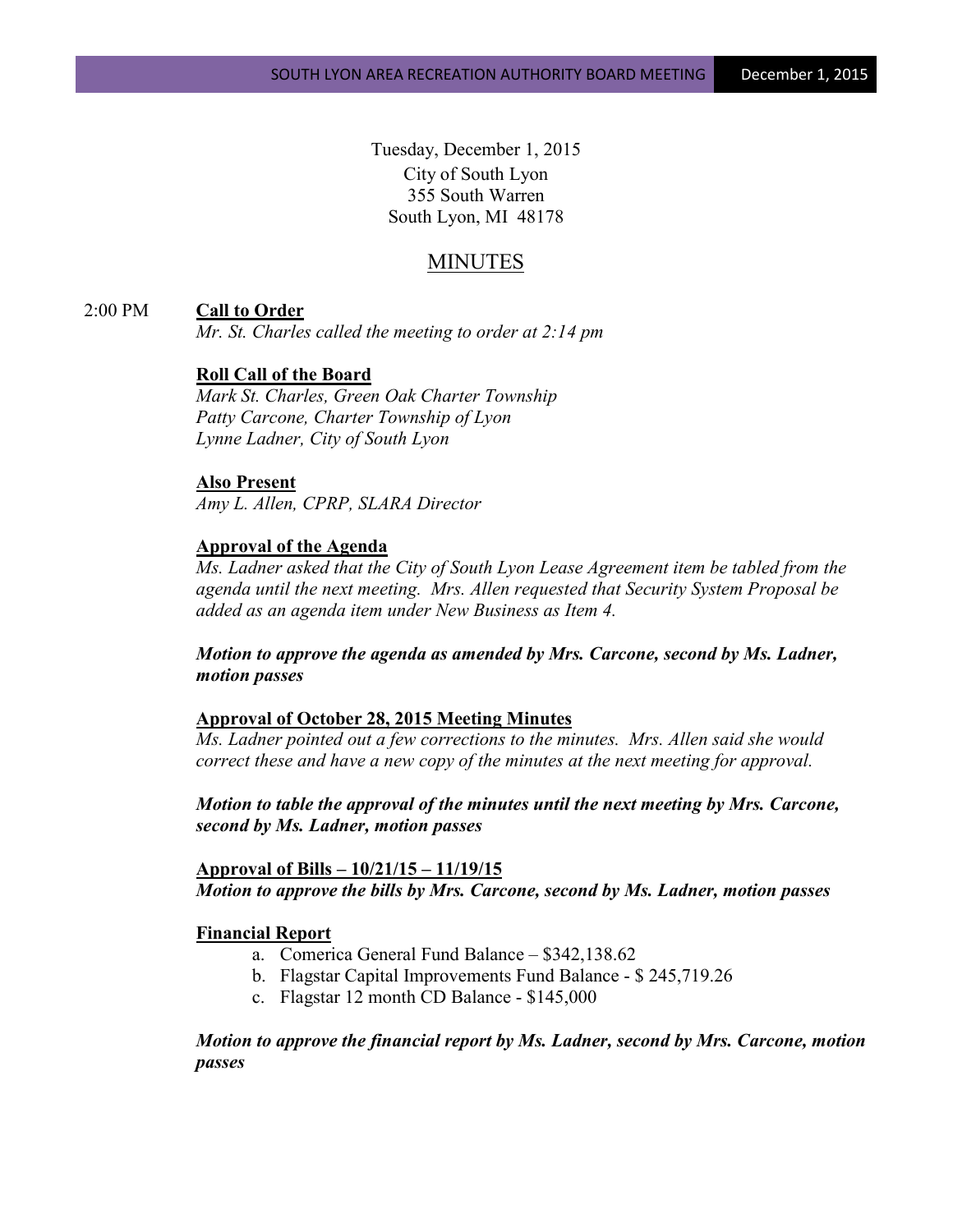Tuesday, December 1, 2015 City of South Lyon 355 South Warren South Lyon, MI 48178

# MINUTES

# 2:00 PM **Call to Order**

*Mr. St. Charles called the meeting to order at 2:14 pm*

# **Roll Call of the Board**

*Mark St. Charles, Green Oak Charter Township Patty Carcone, Charter Township of Lyon Lynne Ladner, City of South Lyon* 

# **Also Present**

*Amy L. Allen, CPRP, SLARA Director*

# **Approval of the Agenda**

*Ms. Ladner asked that the City of South Lyon Lease Agreement item be tabled from the agenda until the next meeting. Mrs. Allen requested that Security System Proposal be added as an agenda item under New Business as Item 4.* 

*Motion to approve the agenda as amended by Mrs. Carcone, second by Ms. Ladner, motion passes*

# **Approval of October 28, 2015 Meeting Minutes**

*Ms. Ladner pointed out a few corrections to the minutes. Mrs. Allen said she would correct these and have a new copy of the minutes at the next meeting for approval.*

*Motion to table the approval of the minutes until the next meeting by Mrs. Carcone, second by Ms. Ladner, motion passes*

**Approval of Bills – 10/21/15 – 11/19/15** *Motion to approve the bills by Mrs. Carcone, second by Ms. Ladner, motion passes*

# **Financial Report**

- a. Comerica General Fund Balance \$342,138.62
- b. Flagstar Capital Improvements Fund Balance \$ 245,719.26
- c. Flagstar 12 month CD Balance \$145,000

*Motion to approve the financial report by Ms. Ladner, second by Mrs. Carcone, motion passes*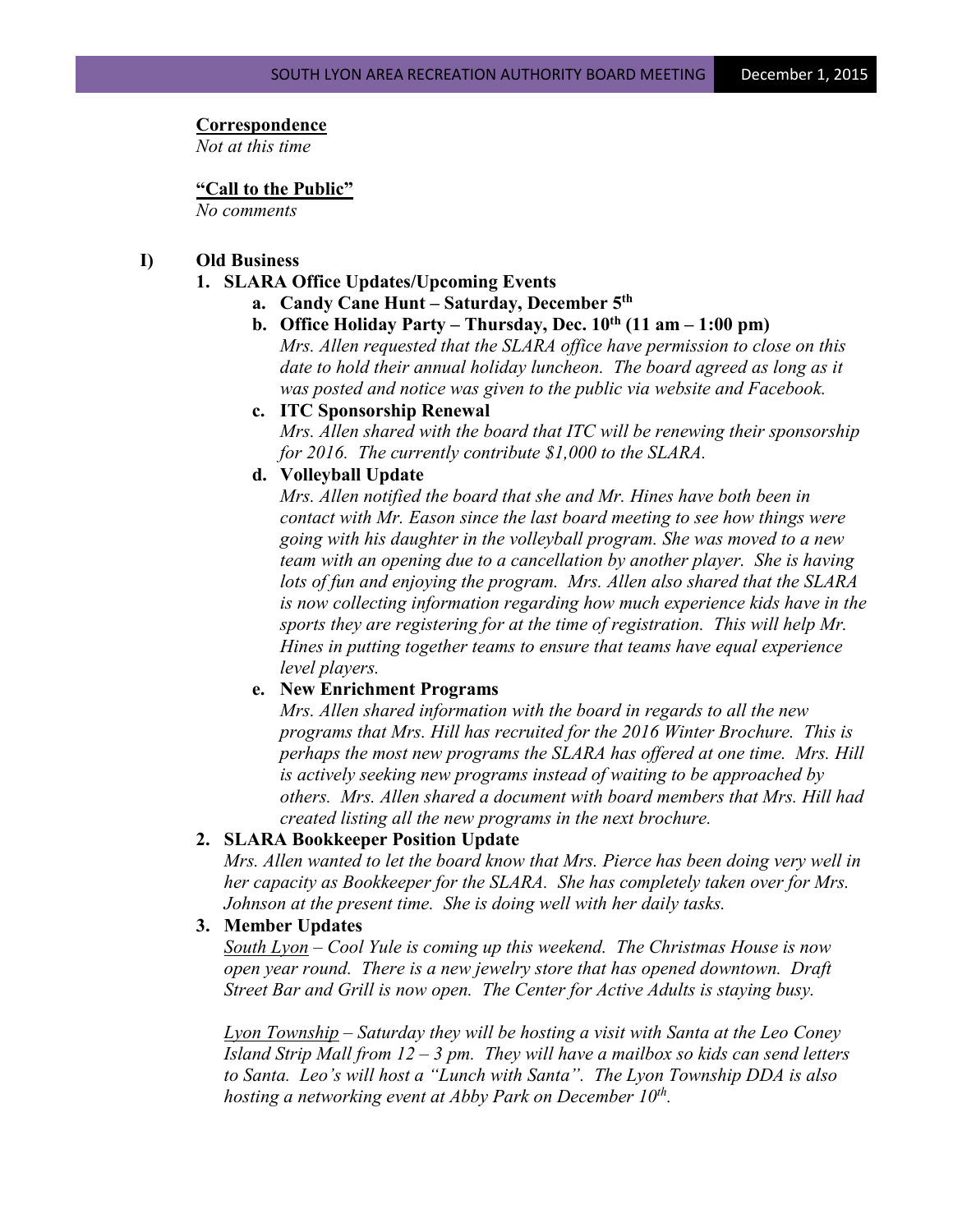#### **Correspondence**

*Not at this time*

### **"Call to the Public"**

*No comments*

# **I) Old Business**

# **1. SLARA Office Updates/Upcoming Events**

- **a. Candy Cane Hunt – Saturday, December 5th**
- **b. Office Holiday Party – Thursday, Dec. 10th (11 am – 1:00 pm)**

*Mrs. Allen requested that the SLARA office have permission to close on this date to hold their annual holiday luncheon. The board agreed as long as it was posted and notice was given to the public via website and Facebook.*

**c. ITC Sponsorship Renewal**

*Mrs. Allen shared with the board that ITC will be renewing their sponsorship for 2016. The currently contribute \$1,000 to the SLARA.*

# **d. Volleyball Update**

*Mrs. Allen notified the board that she and Mr. Hines have both been in contact with Mr. Eason since the last board meeting to see how things were going with his daughter in the volleyball program. She was moved to a new team with an opening due to a cancellation by another player. She is having lots of fun and enjoying the program. Mrs. Allen also shared that the SLARA is now collecting information regarding how much experience kids have in the sports they are registering for at the time of registration. This will help Mr. Hines in putting together teams to ensure that teams have equal experience level players.*

# **e. New Enrichment Programs**

*Mrs. Allen shared information with the board in regards to all the new programs that Mrs. Hill has recruited for the 2016 Winter Brochure. This is perhaps the most new programs the SLARA has offered at one time. Mrs. Hill is actively seeking new programs instead of waiting to be approached by others. Mrs. Allen shared a document with board members that Mrs. Hill had created listing all the new programs in the next brochure.*

# **2. SLARA Bookkeeper Position Update**

*Mrs. Allen wanted to let the board know that Mrs. Pierce has been doing very well in her capacity as Bookkeeper for the SLARA. She has completely taken over for Mrs. Johnson at the present time. She is doing well with her daily tasks.*

# **3. Member Updates**

*South Lyon – Cool Yule is coming up this weekend. The Christmas House is now open year round. There is a new jewelry store that has opened downtown. Draft Street Bar and Grill is now open. The Center for Active Adults is staying busy.*

*Lyon Township – Saturday they will be hosting a visit with Santa at the Leo Coney Island Strip Mall from 12 – 3 pm. They will have a mailbox so kids can send letters to Santa. Leo's will host a "Lunch with Santa". The Lyon Township DDA is also hosting a networking event at Abby Park on December 10th.*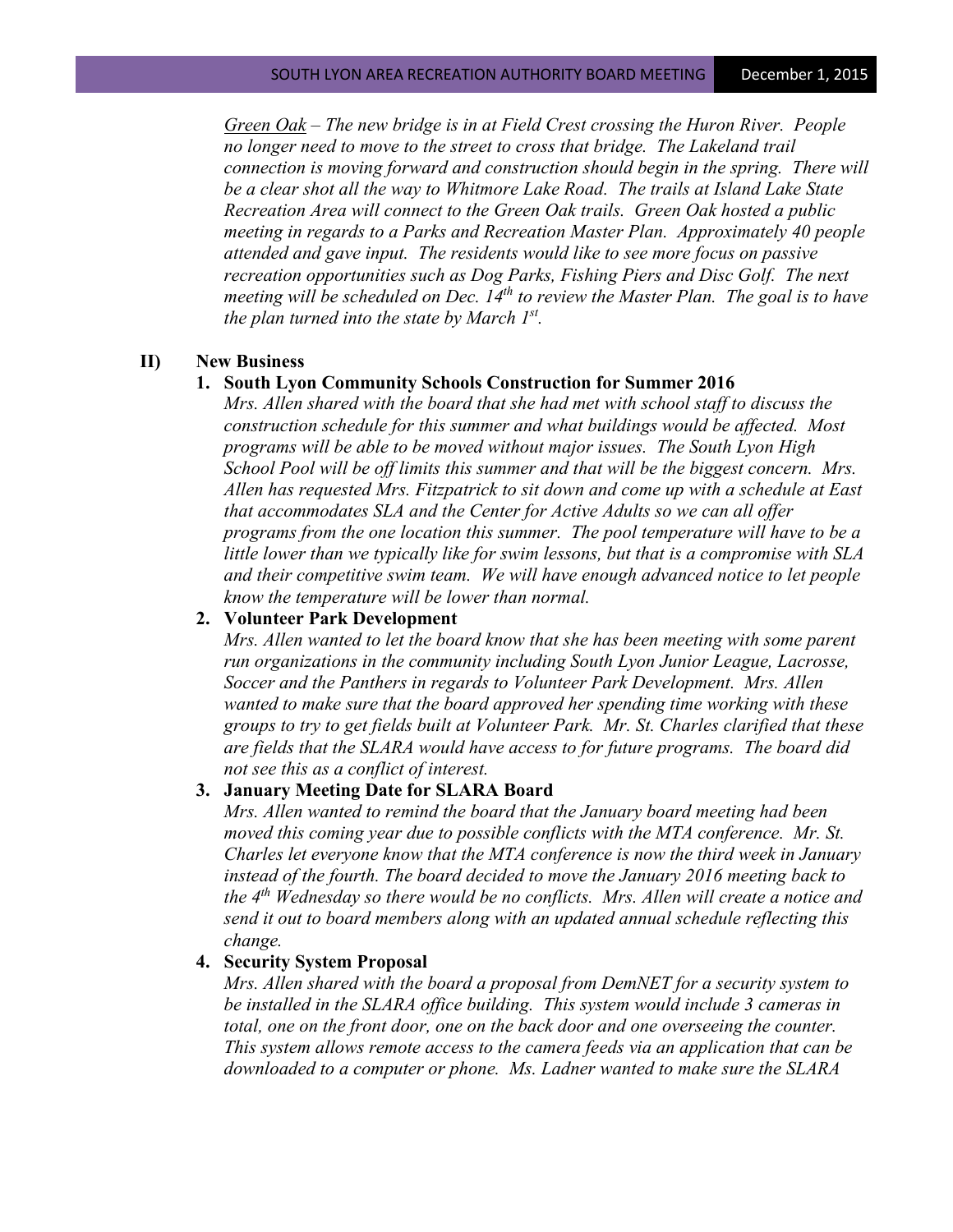*Green Oak – The new bridge is in at Field Crest crossing the Huron River. People no longer need to move to the street to cross that bridge. The Lakeland trail connection is moving forward and construction should begin in the spring. There will be a clear shot all the way to Whitmore Lake Road. The trails at Island Lake State Recreation Area will connect to the Green Oak trails. Green Oak hosted a public meeting in regards to a Parks and Recreation Master Plan. Approximately 40 people attended and gave input. The residents would like to see more focus on passive recreation opportunities such as Dog Parks, Fishing Piers and Disc Golf. The next meeting will be scheduled on Dec. 14th to review the Master Plan. The goal is to have the plan turned into the state by March 1st.* 

### **II) New Business**

#### **1. South Lyon Community Schools Construction for Summer 2016**

*Mrs. Allen shared with the board that she had met with school staff to discuss the construction schedule for this summer and what buildings would be affected. Most programs will be able to be moved without major issues. The South Lyon High School Pool will be off limits this summer and that will be the biggest concern. Mrs. Allen has requested Mrs. Fitzpatrick to sit down and come up with a schedule at East that accommodates SLA and the Center for Active Adults so we can all offer programs from the one location this summer. The pool temperature will have to be a little lower than we typically like for swim lessons, but that is a compromise with SLA and their competitive swim team. We will have enough advanced notice to let people know the temperature will be lower than normal.*

# **2. Volunteer Park Development**

*Mrs. Allen wanted to let the board know that she has been meeting with some parent run organizations in the community including South Lyon Junior League, Lacrosse, Soccer and the Panthers in regards to Volunteer Park Development. Mrs. Allen wanted to make sure that the board approved her spending time working with these groups to try to get fields built at Volunteer Park. Mr. St. Charles clarified that these are fields that the SLARA would have access to for future programs. The board did not see this as a conflict of interest.*

### **3. January Meeting Date for SLARA Board**

*Mrs. Allen wanted to remind the board that the January board meeting had been moved this coming year due to possible conflicts with the MTA conference. Mr. St. Charles let everyone know that the MTA conference is now the third week in January instead of the fourth. The board decided to move the January 2016 meeting back to the 4th Wednesday so there would be no conflicts. Mrs. Allen will create a notice and send it out to board members along with an updated annual schedule reflecting this change.*

### **4. Security System Proposal**

*Mrs. Allen shared with the board a proposal from DemNET for a security system to be installed in the SLARA office building. This system would include 3 cameras in total, one on the front door, one on the back door and one overseeing the counter. This system allows remote access to the camera feeds via an application that can be downloaded to a computer or phone. Ms. Ladner wanted to make sure the SLARA*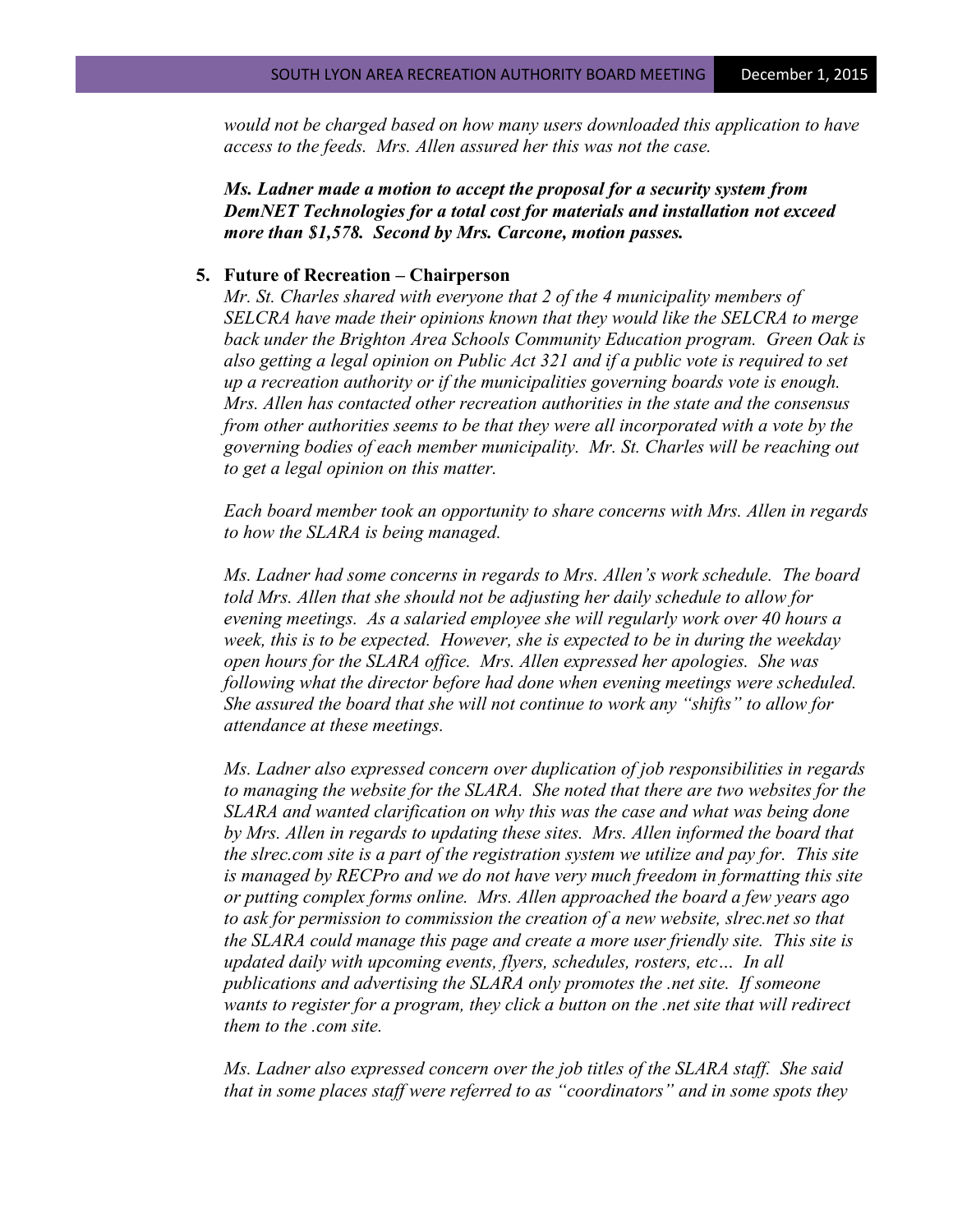*would not be charged based on how many users downloaded this application to have access to the feeds. Mrs. Allen assured her this was not the case.*

*Ms. Ladner made a motion to accept the proposal for a security system from DemNET Technologies for a total cost for materials and installation not exceed more than \$1,578. Second by Mrs. Carcone, motion passes.*

#### **5. Future of Recreation – Chairperson**

*Mr. St. Charles shared with everyone that 2 of the 4 municipality members of SELCRA have made their opinions known that they would like the SELCRA to merge back under the Brighton Area Schools Community Education program. Green Oak is also getting a legal opinion on Public Act 321 and if a public vote is required to set up a recreation authority or if the municipalities governing boards vote is enough. Mrs. Allen has contacted other recreation authorities in the state and the consensus from other authorities seems to be that they were all incorporated with a vote by the governing bodies of each member municipality. Mr. St. Charles will be reaching out to get a legal opinion on this matter.* 

*Each board member took an opportunity to share concerns with Mrs. Allen in regards to how the SLARA is being managed.* 

*Ms. Ladner had some concerns in regards to Mrs. Allen's work schedule. The board told Mrs. Allen that she should not be adjusting her daily schedule to allow for evening meetings. As a salaried employee she will regularly work over 40 hours a week, this is to be expected. However, she is expected to be in during the weekday open hours for the SLARA office. Mrs. Allen expressed her apologies. She was following what the director before had done when evening meetings were scheduled. She assured the board that she will not continue to work any "shifts" to allow for attendance at these meetings.*

*Ms. Ladner also expressed concern over duplication of job responsibilities in regards to managing the website for the SLARA. She noted that there are two websites for the SLARA and wanted clarification on why this was the case and what was being done by Mrs. Allen in regards to updating these sites. Mrs. Allen informed the board that the slrec.com site is a part of the registration system we utilize and pay for. This site is managed by RECPro and we do not have very much freedom in formatting this site or putting complex forms online. Mrs. Allen approached the board a few years ago to ask for permission to commission the creation of a new website, slrec.net so that the SLARA could manage this page and create a more user friendly site. This site is updated daily with upcoming events, flyers, schedules, rosters, etc… In all publications and advertising the SLARA only promotes the .net site. If someone wants to register for a program, they click a button on the .net site that will redirect them to the .com site.* 

*Ms. Ladner also expressed concern over the job titles of the SLARA staff. She said that in some places staff were referred to as "coordinators" and in some spots they*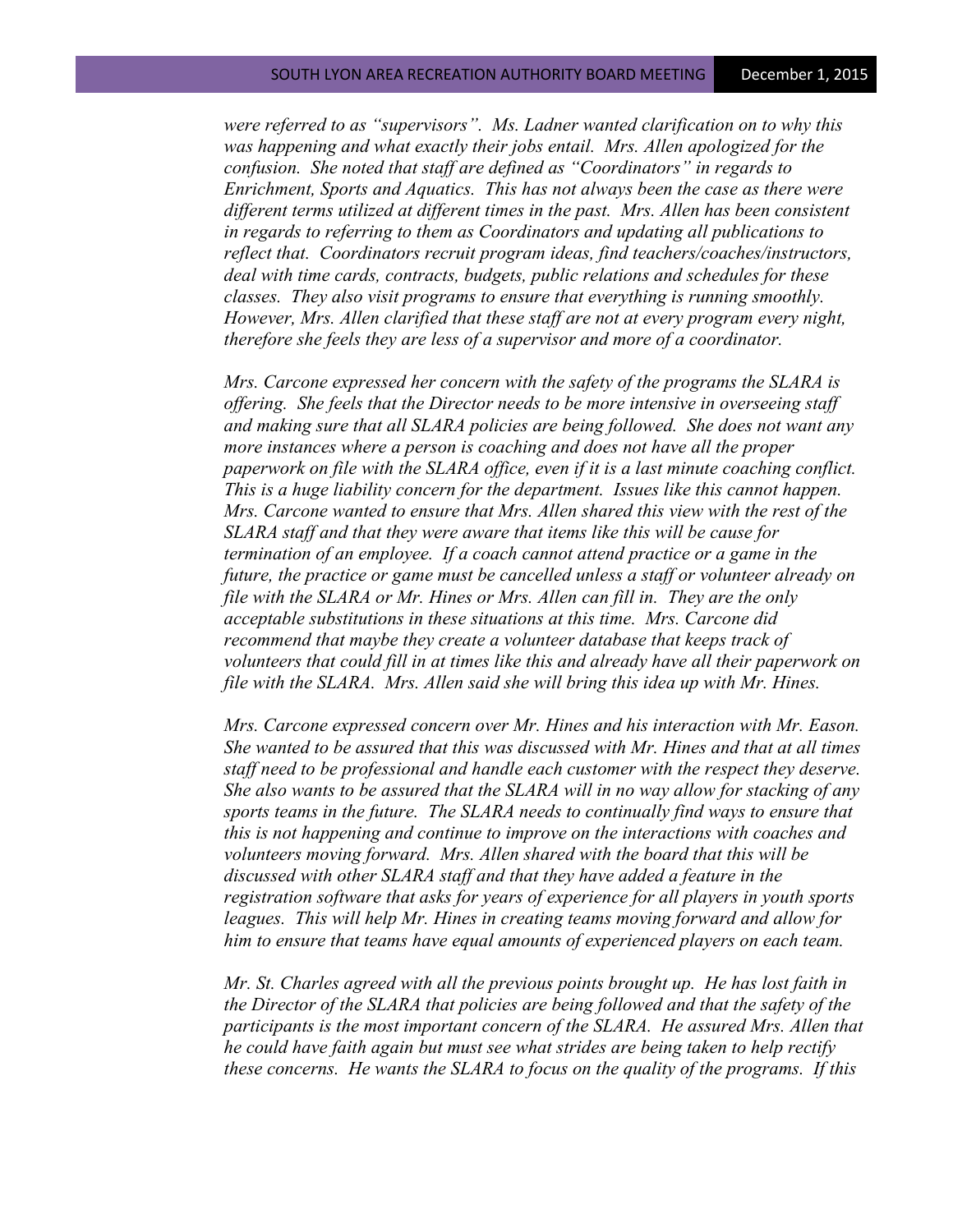*were referred to as "supervisors". Ms. Ladner wanted clarification on to why this was happening and what exactly their jobs entail. Mrs. Allen apologized for the confusion. She noted that staff are defined as "Coordinators" in regards to Enrichment, Sports and Aquatics. This has not always been the case as there were different terms utilized at different times in the past. Mrs. Allen has been consistent in regards to referring to them as Coordinators and updating all publications to reflect that. Coordinators recruit program ideas, find teachers/coaches/instructors, deal with time cards, contracts, budgets, public relations and schedules for these classes. They also visit programs to ensure that everything is running smoothly. However, Mrs. Allen clarified that these staff are not at every program every night, therefore she feels they are less of a supervisor and more of a coordinator.* 

*Mrs. Carcone expressed her concern with the safety of the programs the SLARA is offering. She feels that the Director needs to be more intensive in overseeing staff and making sure that all SLARA policies are being followed. She does not want any more instances where a person is coaching and does not have all the proper paperwork on file with the SLARA office, even if it is a last minute coaching conflict. This is a huge liability concern for the department. Issues like this cannot happen. Mrs. Carcone wanted to ensure that Mrs. Allen shared this view with the rest of the SLARA staff and that they were aware that items like this will be cause for termination of an employee. If a coach cannot attend practice or a game in the future, the practice or game must be cancelled unless a staff or volunteer already on file with the SLARA or Mr. Hines or Mrs. Allen can fill in. They are the only acceptable substitutions in these situations at this time. Mrs. Carcone did recommend that maybe they create a volunteer database that keeps track of volunteers that could fill in at times like this and already have all their paperwork on*  file with the SLARA. Mrs. Allen said she will bring this idea up with Mr. Hines.

*Mrs. Carcone expressed concern over Mr. Hines and his interaction with Mr. Eason. She wanted to be assured that this was discussed with Mr. Hines and that at all times staff need to be professional and handle each customer with the respect they deserve. She also wants to be assured that the SLARA will in no way allow for stacking of any sports teams in the future. The SLARA needs to continually find ways to ensure that this is not happening and continue to improve on the interactions with coaches and volunteers moving forward. Mrs. Allen shared with the board that this will be discussed with other SLARA staff and that they have added a feature in the registration software that asks for years of experience for all players in youth sports leagues. This will help Mr. Hines in creating teams moving forward and allow for him to ensure that teams have equal amounts of experienced players on each team.*

*Mr. St. Charles agreed with all the previous points brought up. He has lost faith in the Director of the SLARA that policies are being followed and that the safety of the participants is the most important concern of the SLARA. He assured Mrs. Allen that he could have faith again but must see what strides are being taken to help rectify these concerns. He wants the SLARA to focus on the quality of the programs. If this*